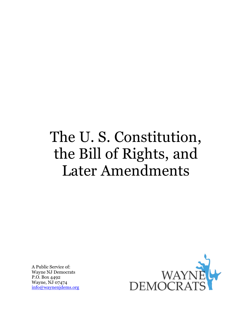# The U. S. Constitution, the Bill of Rights, and Later Amendments

A Public Service of: Wayne NJ Democrats P.O. Box 4492 Wayne, NJ 07474 [info@waynenjdems.org](mailto:info@waynenjdems.org)

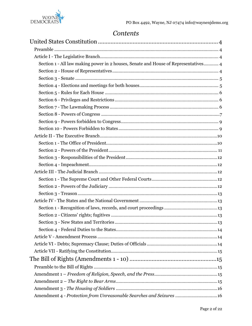

## Contents

| Section 1 - All law making power in 2 houses, Senate and House of Representatives 4 |
|-------------------------------------------------------------------------------------|
|                                                                                     |
|                                                                                     |
|                                                                                     |
|                                                                                     |
|                                                                                     |
|                                                                                     |
|                                                                                     |
|                                                                                     |
|                                                                                     |
|                                                                                     |
|                                                                                     |
|                                                                                     |
|                                                                                     |
|                                                                                     |
|                                                                                     |
|                                                                                     |
|                                                                                     |
|                                                                                     |
|                                                                                     |
|                                                                                     |
|                                                                                     |
|                                                                                     |
|                                                                                     |
|                                                                                     |
|                                                                                     |
|                                                                                     |
|                                                                                     |
|                                                                                     |
|                                                                                     |
|                                                                                     |
|                                                                                     |
| Amendment 4 - Protection from Unreasonable Searches and Seizures 16                 |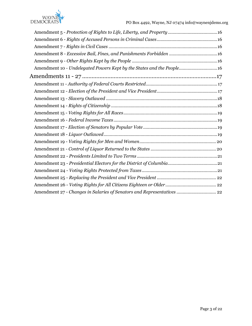

| Amendment 10 - Undelegated Powers Kept by the States and the People16  |
|------------------------------------------------------------------------|
|                                                                        |
|                                                                        |
|                                                                        |
|                                                                        |
|                                                                        |
|                                                                        |
|                                                                        |
|                                                                        |
|                                                                        |
|                                                                        |
|                                                                        |
|                                                                        |
|                                                                        |
|                                                                        |
|                                                                        |
|                                                                        |
| Amendment 27 - Changes in Salaries of Senators and Representatives  22 |
|                                                                        |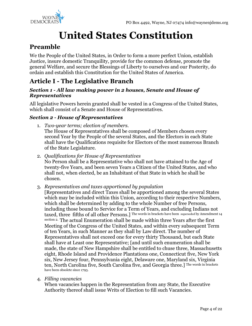

## **United States Constitution**

## <span id="page-3-1"></span><span id="page-3-0"></span>**Preamble**

We the People of the United States, in Order to form a more perfect Union, establish Justice, insure domestic Tranquility, provide for the common defense, promote the general Welfare, and secure the Blessings of Liberty to ourselves and our Posterity, do ordain and establish this Constitution for the United States of America.

## <span id="page-3-2"></span>**Article I - The Legislative Branch**

#### <span id="page-3-3"></span>*Section 1 - All law making power in 2 houses, Senate and House of Representatives*

All legislative Powers herein granted shall be vested in a Congress of the United States, which shall consist of a Senate and House of Representatives.

#### <span id="page-3-4"></span>*Section 2 - House of Representatives*

- 1. *Two-year terms; election of members.* The House of Representatives shall be composed of Members chosen every second Year by the People of the several States, and the Electors in each State shall have the Qualifications requisite for Electors of the most numerous Branch of the State Legislature.
- 2. *Qualifications for House of Representatives* No Person shall be a Representative who shall not have attained to the Age of twenty-five Years, and been seven Years a Citizen of the United States, and who shall not, when elected, be an Inhabitant of that State in which he shall be chosen.
- 3. *Representatives and taxes apportioned by population*
	- [Representatives and direct Taxes shall be apportioned among the several States which may be included within this Union, according to their respective Numbers, which shall be determined by adding to the whole Number of free Persons, including those bound to Service for a Term of Years, and excluding Indians not taxed, three fifths of all other Persons.] The words in brackets have been superseded by Amendment 14 section 2. The actual Enumeration shall be made within three Years after the first Meeting of the Congress of the United States, and within every subsequent Term of ten Years, in such Manner as they shall by Law direct. The number of Representatives shall not exceed one for every thirty Thousand, but each State shall have at Least one Representative; [and until such enumeration shall be made, the state of New Hampshire shall be entitled to chuse three, Massachusetts eight, Rhode Island and Providence Plantations one, Connecticut five, New York six, New Jersey four, Pennsylvania eight, Delaware one, Maryland six, Virginia ten, North Carolina five, South Carolina five, and Georgia three.] The words in brackets have been obsolete since 1793.
- 4. *Filling vacancies*

When vacancies happen in the Representation from any State, the Executive Authority thereof shall issue Writs of Election to fill such Vacancies.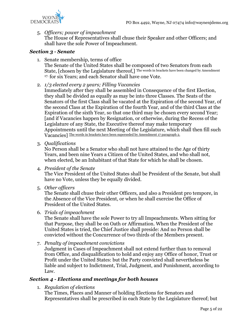

5. *Officers; power of impeachment*

The House of Representatives shall chuse their Speaker and other Officers; and shall have the sole Power of Impeachment.

#### <span id="page-4-0"></span>*Section 3 - Senate*

- 1. Senate membership, terms of office The Senate of the United States shall be composed of two Senators from each State, [chosen by the Legislature thereof,] The words in brackets have been changed by Amendment 17. for six Years; and each Senator shall have one Vote.
- 2. *1/3 elected every 2 years; Filling Vacancies*
	- Immediately after they shall be assembled in Consequence of the first Election, they shall be divided as equally as may be into three Classes. The Seats of the Senators of the first Class shall be vacated at the Expiration of the second Year, of the second Class at the Expiration of the fourth Year, and of the third Class at the Expiration of the sixth Year, so that one third may be chosen every second Year; [and if Vacancies happen by Resignation, or otherwise, during the Recess of the Legislature of any State, the Executive thereof may make temporary Appointments until the next Meeting of the Legislature, which shall then fill such Vacancies] The words in brackets have been superseded by Amendment 17 paragraph 2.
- 3. *Qualifications*

No Person shall be a Senator who shall not have attained to the Age of thirty Years, and been nine Years a Citizen of the United States, and who shall not, when elected, be an Inhabitant of that State for which he shall be chosen.

4. *President of the Senate*

The Vice President of the United States shall be President of the Senate, but shall have no Vote, unless they be equally divided.

5. *Other officers*

The Senate shall chuse their other Officers, and also a President pro tempore, in the Absence of the Vice President, or when he shall exercise the Office of President of the United States.

6. *Trials of impeachment*

The Senate shall have the sole Power to try all Impeachments. When sitting for that Purpose, they shall be on Oath or Affirmation. When the President of the United States is tried, the Chief Justice shall preside: And no Person shall be convicted without the Concurrence of two thirds of the Members present.

7. *Penalty of impeachment convictions*

Judgment in Cases of Impeachment shall not extend further than to removal from Office, and disqualification to hold and enjoy any Office of honor, Trust or Profit under the United States: but the Party convicted shall nevertheless be liable and subject to Indictment, Trial, Judgment, and Punishment, according to Law.

#### <span id="page-4-1"></span>*Section 4 - Elections and meetings for both houses*

1. *Regulation of elections*

The Times, Places and Manner of holding Elections for Senators and Representatives shall be prescribed in each State by the Legislature thereof; but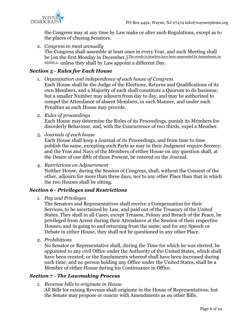

the Congress may at any time by Law make or alter such Regulations, except as to the places of chusing Senators.

2. *Congress to meet annually* The Congress shall assemble at least once in every Year, and such Meeting shall be [on the first Monday in December,] The words in brackets have been superseded by Amendment 20 [section 2.](https://nccs.net/blogs/americas-founding-documents/united-states-constitution-amendments-11-27#amd20) unless they shall by Law appoint a different Day.

#### <span id="page-5-0"></span>*Section 5 - Rules for Each House*

1. *Organization and independence of each house of Congress*

Each House shall be the Judge of the Elections, Returns and Qualifications of its own Members, and a Majority of each shall constitute a Quorum to do business; but a smaller Number may adjourn from day to day, and may be authorized to compel the Attendance of absent Members, in such Manner, and under such Penalties as each House may provide.

2. *Rules of proceedings*

Each House may determine the Rules of its Proceedings, punish its Members for disorderly Behaviour, and, with the Concurrence of two thirds, expel a Member.

3. *Journals of each house*

Each House shall keep a Journal of its Proceedings, and from time to time publish the same, excepting such Parts as may in their Judgment require Secrecy; and the Yeas and Nays of the Members of either House on any question shall, at the Desire of one fifth of those Present, be entered on the Journal.

4. *Restrictions on Adjournment*

Neither House, during the Session of Congress, shall, without the Consent of the other, adjourn for more than three days, nor to any other Place than that in which the two Houses shall be sitting.

#### <span id="page-5-1"></span>*Section 6 - Privileges and Restrictions*

1. *Pay and Privileges*

The Senators and Representatives shall receive a Compensation for their Services, to be ascertained by Law, and paid out of the Treasury of the United States. They shall in all Cases, except Treason, Felony and Breach of the Peace, be privileged from Arrest during their Attendance at the Session of their respective Houses, and in going to and returning from the same; and for any Speech or Debate in either House, they shall not be questioned in any other Place.

2. *Prohibitions*

No Senator or Representative shall, during the Time for which he was elected, be appointed to any civil Office under the Authority of the United States, which shall have been created, or the Emoluments whereof shall have been increased during such time; and no person holding any Office under the United States, shall be a Member of either House during his Continuance in Office.

#### <span id="page-5-2"></span>*Section 7 - The Lawmaking Process*

1. *Revenue bills to originate in House*

All Bills for raising Revenue shall originate in the House of Representatives; but the Senate may propose or concur with Amendments as on other Bills.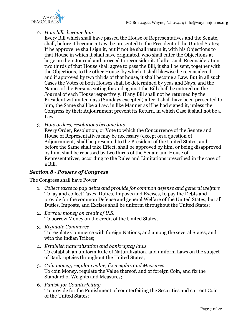

#### 2. *How bills become law*

Every Bill which shall have passed the House of Representatives and the Senate, shall, before it become a Law, be presented to the President of the United States; If he approve he shall sign it, but if not he shall return it, with his Objections to that House in which it shall have originated, who shall enter the Objections at large on their Journal and proceed to reconsider it. If after such Reconsideration two thirds of that House shall agree to pass the Bill, it shall be sent, together with the Objections, to the other House, by which it shall likewise be reconsidered, and if approved by two thirds of that house, it shall become a Law. But in all such Cases the Votes of both Houses shall be determined by yeas and Nays, and the Names of the Persons voting for and against the Bill shall be entered on the Journal of each House respectively. If any Bill shall not be returned by the President within ten days (Sundays excepted) after it shall have been presented to him, the Same shall be a Law, in like Manner as if he had signed it, unless the Congress by their Adjournment prevent its Return, in which Case it shall not be a Law.

3. *How orders, resolutions become law*

Every Order, Resolution, or Vote to which the Concurrence of the Senate and House of Representatives may be necessary (except on a question of Adjournment) shall be presented to the President of the United States; and, before the Same shall take Effect, shall be approved by him, or being disapproved by him, shall be repassed by two thirds of the Senate and House of Representatives, according to the Rules and Limitations prescribed in the case of a Bill.

#### <span id="page-6-0"></span>*Section 8 - Powers of Congress*

The Congress shall have Power

- 1. *Collect taxes to pay debts and provide for common defense and general welfare* To lay and collect Taxes, Duties, Imposts and Excises, to pay the Debts and provide for the common Defense and general Welfare of the United States; but all Duties, Imposts, and Excises shall be uniform throughout the United States;
- 2. *Borrow money on credit of U.S.* To borrow Money on the credit of the United States;
- 3. *Regulate Commerce* To regulate Commerce with foreign Nations, and among the several States, and with the Indian Tribes;
- 4. *Establish naturalization and bankruptcy laws* To establish an uniform Rule of Naturalization, and uniform Laws on the subject of Bankruptcies throughout the United States;
- 5. *Coin money, regulate value, fix weights and Measures* To coin Money, regulate the Value thereof, and of foreign Coin, and fix the Standard of Weights and Measures;
- 6. *Punish for Counterfeiting* To provide for the Punishment of counterfeiting the Securities and current Coin of the United States;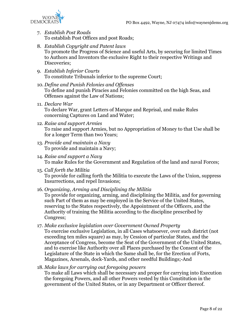

- 7. *Establish Post Roads* To establish Post Offices and post Roads;
- 8. *Establish Copyright and Patent laws* To promote the Progress of Science and useful Arts, by securing for limited Times to Authors and Inventors the exclusive Right to their respective Writings and Discoveries;
- 9. *Establish Inferior Courts* To constitute Tribunals inferior to the supreme Court;
- 10. *Define and Punish Felonies and Offenses* To define and punish Piracies and Felonies committed on the high Seas, and Offenses against the Law of Nations;
- 11. *Declare War* To declare War, grant Letters of Marque and Reprisal, and make Rules concerning Captures on Land and Water;
- 12. *Raise and support Armies* To raise and support Armies, but no Appropriation of Money to that Use shall be for a longer Term than two Years;
- 13. *Provide and maintain a Navy* To provide and maintain a Navy;
- 14. *Raise and support a Navy* To make Rules for the Government and Regulation of the land and naval Forces;
- 15. *Call forth the Militia* To provide for calling forth the Militia to execute the Laws of the Union, suppress Insurrections, and repel Invasions;
- 16. *Organizing, Arming and Disciplining the Militia*

To provide for organizing, arming, and disciplining the Militia, and for governing such Part of them as may be employed in the Service of the United States, reserving to the States respectively, the Appointment of the Officers, and the Authority of training the Militia according to the discipline prescribed by Congress;

17. *Make exclusive legislation over Government Owned Property*

To exercise exclusive Legislation, in all Cases whatsoever, over such district (not exceeding ten miles square) as may, by Cession of particular States, and the Acceptance of Congress, become the Seat of the Government of the United States, and to exercise like Authority over all Places purchased by the Consent of the Legislature of the State in which the Same shall be, for the Erection of Forts, Magazines, Arsenals, dock-Yards, and other needful Buildings;-And

18. *Make laws for carrying out foregoing powers*

To make all Laws which shall be necessary and proper for carrying into Execution the foregoing Powers, and all other Powers vested by this Constitution in the government of the United States, or in any Department or Officer thereof.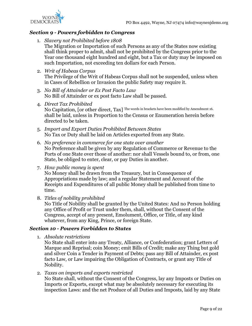

#### <span id="page-8-0"></span>*Section 9 - Powers forbidden to Congress*

1. *Slavery not Prohibited before 1808*

The Migration or Importation of such Persons as any of the States now existing shall think proper to admit, shall not be prohibited by the Congress prior to the Year one thousand eight hundred and eight, but a Tax or duty may be imposed on such Importation, not exceeding ten dollars for each Person.

2. *Writ of Habeas Corpus*

The Privilege of the Writ of Habeas Corpus shall not be suspended, unless when in Cases of Rebellion or Invasion the public Safety may require it.

- 3. *No Bill of Attainder or Ex Post Facto Law* No Bill of Attainder or ex post facto Law shall be passed.
- 4. *Direct Tax Prohibited* No Capitation, [or other direct, Tax] The words in brackets have been modified by Amendment 16. shall be laid, unless in Proportion to the Census or Enumeration herein before directed to be taken.
- 5. *Import and Export Duties Prohibited Between States* No Tax or Duty shall be laid on Articles exported from any State.
- 6. *No preference in commerce for one state over another* No Preference shall be given by any Regulation of Commerce or Revenue to the Ports of one State over those of another: nor shall Vessels bound to, or from, one State, be obliged to enter, clear, or pay Duties in another.
- 7. *How public money is spent*

No Money shall be drawn from the Treasury, but in Consequence of Appropriations made by law; and a regular Statement and Account of the Receipts and Expenditures of all public Money shall be published from time to time.

8. *Titles of nobility prohibited*

No Title of Nobility shall be granted by the United States: And no Person holding any Office of Profit or Trust under them, shall, without the Consent of the Congress, accept of any present, Emolument, Office, or Title, of any kind whatever, from any King, Prince, or foreign State.

#### <span id="page-8-1"></span>*Section 10 - Powers Forbidden to States*

1. *Absolute restrictions*

No State shall enter into any Treaty, Alliance, or Confederation; grant Letters of Marque and Reprisal; coin Money; emit Bills of Credit; make any Thing but gold and silver Coin a Tender in Payment of Debts; pass any Bill of Attainder, ex post facto Law, or Law impairing the Obligation of Contracts, or grant any Title of Nobility.

2. *Taxes on imports and exports restricted*

No State shall, without the Consent of the Congress, lay any Imposts or Duties on Imports or Exports, except what may be absolutely necessary for executing its inspection Laws: and the net Produce of all Duties and Imposts, laid by any State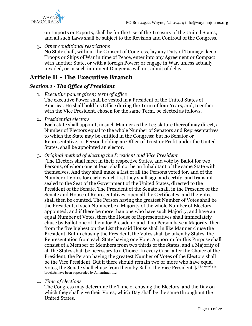

on Imports or Exports, shall be for the Use of the Treasury of the United States; and all such Laws shall be subject to the Revision and Controul of the Congress.

3. *Other conditional restrictions*

No State shall, without the Consent of Congress, lay any Duty of Tonnage; keep Troops or Ships of War in time of Peace, enter into any Agreement or Compact with another State, or with a foreign Power; or engage in War, unless actually invaded, or in such imminent Danger as will not admit of delay.

## <span id="page-9-0"></span>**Article II - The Executive Branch**

### <span id="page-9-1"></span>*Section 1 - The Office of President*

- 1. *Executive power given; term of office* The executive Power shall be vested in a President of the United States of America. He shall hold his Office during the Term of four Years, and, together with the Vice President, chosen for the same Term, be elected as follows.
- 2. *Presidential electors*

Each state shall appoint, in such Manner as the Legislature thereof may direct, a Number of Electors equal to the whole Number of Senators and Representatives to which the State may be entitled in the Congress: but no Senator or Representative, or Person holding an Office of Trust or Profit under the United States, shall be appointed an elector.

3. *Original method of electing the President and Vice President*

[The Electors shall meet in their respective States, and vote by Ballot for two Persons, of whom one at least shall not be an Inhabitant of the same State with themselves. And they shall make a List of all the Persons voted for, and of the Number of Votes for each; which List they shall sign and certify, and transmit sealed to the Seat of the Government of the United States, directed to the President of the Senate. The President of the Senate shall, in the Presence of the Senate and House of Representatives, open all the Certificates, and the Votes shall then be counted. The Person having the greatest Number of Votes shall be the President, if such Number be a Majority of the whole Number of Electors appointed; and if there be more than one who have such Majority, and have an equal Number of Votes, then the House of Representatives shall immediately chuse by Ballot one of them for President; and if no Person have a Majority, then from the five highest on the List the said House shall in like Manner chuse the President. But in chusing the President, the Votes shall be taken by States, the Representation from each State having one Vote; A quorum for this Purpose shall consist of a Member or Members from two thirds of the States, and a Majority of all the States shall be necessary to a Choice. In every Case, after the Choice of the President, the Person having the greatest Number of Votes of the Electors shall be the Vice President. But if there should remain two or more who have equal Votes, the Senate shall chuse from them by Ballot the Vice President.[\]](https://nccs.net/blogs/americas-founding-documents/united-states-constitution-amendments-11-27#amd12) The words in brackets have been superseded by Amendment 12.

#### 4. *Time of elections*

The Congress may determine the Time of chusing the Electors, and the Day on which they shall give their Votes; which Day shall be the same throughout the United States.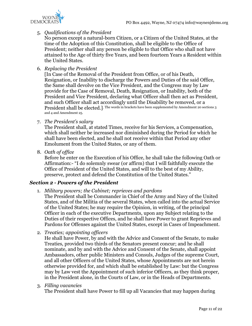

#### 5. *Qualifications of the President*

No person except a natural-born Citizen, or a Citizen of the United States, at the time of the Adoption of this Constitution, shall be eligible to the Office of President; neither shall any person be eligible to that Office who shall not have attained to the Age of thirty five Years, and been fourteen Years a Resident within the United States.

6. *Replacing the President*

[In Case of the Removal of the President from Office, or of his Death, Resignation, or Inability to discharge the Powers and Duties of the said Office, the Same shall devolve on the Vice President, and the Congress may by Law provide for the Case of Removal, Death, Resignation, or Inability, both of the President and Vice President, declaring what Officer shall then act as President, and such Officer shall act accordingly until the Disability be removed, or a President shall be elected.[\]](https://nccs.net/blogs/americas-founding-documents/united-states-constitution-amendments-11-27#amd20) The words in brackets have been supplemented by Amendment 20 sections 3 and 4 and Amendment 25.

7. *The President's salary*

The President shall, at stated Times, receive for his Services, a Compensation, which shall neither be increased nor diminished during the Period for which he shall have been elected, and he shall not receive within that Period any other Emolument from the United States, or any of them.

8. *Oath of office*

Before he enter on the Execution of his Office, he shall take the following Oath or Affirmation:- "I do solemnly swear (or affirm) that I will faithfully execute the Office of President of the United States, and will to the best of my Ability, preserve, protect and defend the Constitution of the United States."

#### <span id="page-10-0"></span>*Section 2 - Powers of the President*

1. *Military powers; the Cabinet; reprieves and pardons*

The President shall be Commander in Chief of the Army and Navy of the United States, and of the Militia of the several States, when called into the actual Service of the United States; he may require the Opinion, in writing, of the principal Officer in each of the executive Departments, upon any Subject relating to the Duties of their respective Offices, and he shall have Power to grant Reprieves and Pardons for Offenses against the United States, except in Cases of Impeachment.

2. *Treaties; appointing officers*

He shall have Power, by and with the Advice and Consent of the Senate, to make Treaties, provided two thirds of the Senators present concur; and he shall nominate, and by and with the Advice and Consent of the Senate, shall appoint Ambassadors, other public Ministers and Consuls, Judges of the supreme Court, and all other Officers of the United States, whose Appointments are not herein otherwise provided for, and which shall be established by Law: but the Congress may by Law vest the Appointment of such inferior Officers, as they think proper, in the President alone, in the Courts of Law, or in the Heads of Departments.

3. *Filling vacancies*

The President shall have Power to fill up all Vacancies that may happen during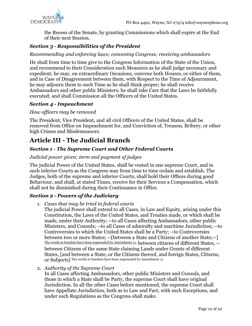

the Recess of the Senate, by granting Commissions which shall expire at the End of their next Session.

### <span id="page-11-0"></span>*Section 3 - Responsibilities of the President*

*Recommending and enforcing laws; convening Congress; receiving ambassadors*

He shall from time to time give to the Congress Information of the State of the Union, and recommend to their Consideration such Measures as he shall judge necessary and expedient; he may, on extraordinary Occasions, convene both Houses, or either of them, and in Case of Disagreement between them, with Respect to the Time of Adjournment, he may adjourn them to such Time as he shall think proper; he shall receive Ambassadors and other public Ministers; he shall take Care that the Laws be faithfully executed; and shall Commission all the Officers of the United States.

#### <span id="page-11-1"></span>*Section 4 - Impeachment*

#### *How officers may be removed*

The President, Vice President, and all civil Officers of the United States, shall be removed from Office on Impeachment for, and Conviction of, Treason, Bribery, or other high Crimes and Misdemeanors.

## <span id="page-11-2"></span>**Article III - The Judicial Branch**

#### <span id="page-11-3"></span>*Section 1 - The Supreme Court and Other Federal Courts*

#### *Judicial power given; term and payment of judges*

The judicial Power of the United States, shall be vested in one supreme Court, and in such inferior Courts as the Congress may from time to time ordain and establish. The Judges, both of the supreme and inferior Courts, shall hold their Offices during good Behaviour, and shall, at stated Times, receive for their Services a Compensation, which shall not be diminished during their Continuance in Office.

#### <span id="page-11-4"></span>*Section 2 - Powers of the Judiciary*

1. *Cases that may be tried in federal courts*

The judicial Power shall extend to all Cases, in Law and Equity, arising under this Constitution, the Laws of the United States, and Treaties made, or which shall be made, under their Authority; --to all Cases affecting Ambassadors, other public Ministers, and Consuls; --to all Cases of admiralty and maritime Jurisdiction; --to Controversies to which the United States shall be a Party; --to Controversies between two or more States; --[between a State and Citizens of another State;--] The words in brackets have been superseded by Amendment 11. between citizens of different States, - between Citizens of the same State claiming Lands under Grants of different States, [and between a State, or the Citizens thereof, and foreign States, Citizens, or Subjects] The words in brackets have been superseded by Amendment 11.

2. *Authority of the Supreme Court*

In all Cases affecting Ambassadors, other public Ministers and Consuls, and those in which a State shall be Party, the supreme Court shall have original Jurisdiction. In all the other Cases before mentioned, the supreme Court shall have Appellate Jurisdiction, both as to Law and Fact, with such Exceptions, and under such Regulations as the Congress shall make.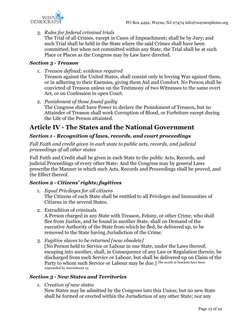

#### 3. *Rules for federal criminal trials*

The Trial of all Crimes, except in Cases of Impeachment; shall be by Jury; and such Trial shall be held in the State where the said Crimes shall have been committed; but when not committed within any State, the Trial shall be at such Place or Places as the Congress may by Law have directed.

#### <span id="page-12-0"></span>*Section 3 - Treason*

1. *Treason defined; evidence required*

Treason against the United States, shall consist only in levying War against them, or in adhering to their Enemies, giving them Aid and Comfort. No Person shall be convicted of Treason unless on the Testimony of two Witnesses to the same overt Act, or on Confession in open Court.

2. *Punishment of those found guilty* The Congress shall have Power to declare the Punishment of Treason, but no Attainder of Treason shall work Corruption of Blood, or Forfeiture except during the Life of the Person attainted.

## <span id="page-12-1"></span>**Article IV - The States and the National Government**

#### <span id="page-12-2"></span>*Section 1 - Recognition of laws, records, and court proceedings*

*Full Faith and credit given in each state to public acts, records, and judicial proceedings of all other states*

Full Faith and Credit shall be given in each State to the public Acts, Records, and judicial Proceedings of every other State; And the Congress may by general Laws prescribe the Manner in which such Acts, Records and Proceedings shall be proved, and the Effect thereof.

#### <span id="page-12-3"></span>*Section 2 - Citizens' rights; fugitives*

- 1. *Equal Privileges for all citizens* The Citizens of each State shall be entitled to all Privileges and Immunities of Citizens in the several States.
- 2. Extradition of criminals

A Person charged in any State with Treason, Felony, or other Crime, who shall flee from Justice, and be found in another State, shall on Demand of the executive Authority of the State from which he fled, be delivered up, to be removed to the State having Jurisdiction of the Crime.

3. *Fugitive slaves to be returned [now obsolete]*

[No Person held to Service or Labour in one State, under the Laws thereof, escaping into another, shall, in Consequence of any Law or Regulation therein, be discharged from such Service or Labour, but shall be delivered up on Claim of the Party to whom such Service or Labour may be due.] The words in brackets have been superseded by Amendment 13.

#### <span id="page-12-4"></span>*Section 3 - New States and Territories*

1. *Creation of new states*

New States may be admitted by the Congress into this Union; but no new State shall be formed or erected within the Jurisdiction of any other State; nor any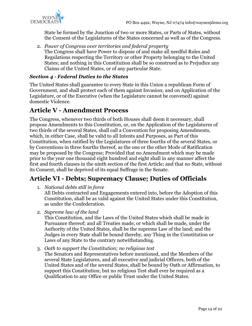

State be formed by the Junction of two or more States, or Parts of States, without the Consent of the Legislatures of the States concerned as well as of the Congress.

2. *Power of Congress over territories and federal property* The Congress shall have Power to dispose of and make all needful Rules and Regulations respecting the Territory or other Property belonging to the United States; and nothing in this Constitution shall be so construed as to Prejudice any Claims of the United States, or of any particular State.

#### <span id="page-13-0"></span>*Section 4 - Federal Duties to the States*

The United States shall guarantee to every State in this Union a republican Form of Government, and shall protect each of them against Invasion; and on Application of the Legislature, or of the Executive (when the Legislature cannot be convened) against domestic Violence.

## <span id="page-13-1"></span>**Article V - Amendment Process**

The Congress, whenever two thirds of both Houses shall deem it necessary, shall propose Amendments to this Constitution, or, on the Application of the Legislatures of two thirds of the several States, shall call a Convention for proposing Amendments, which, in either Case, shall be valid to all Intents and Purposes, as Part of this Constitution, when ratified by the Legislatures of three fourths of the several States, or by Conventions in three fourths thereof, as the one or the other Mode of Ratification may be proposed by the Congress; Provided that no Amendment which may be made prior to the year one thousand eight hundred and eight shall in any manner affect the first and fourth clauses in the ninth section of the first Article; and that no State, without its Consent, shall be deprived of its equal Suffrage in the Senate.

## <span id="page-13-2"></span>**Article VI - Debts; Supremacy Clause; Duties of Officials**

1. *National debts still in force*

All Debts contracted and Engagements entered into, before the Adoption of this Constitution, shall be as valid against the United States under this Constitution, as under the Confederation.

2. *Supreme law of the land*

This Constitution, and the Laws of the United States which shall be made in Pursuance thereof; and all Treaties made, or which shall be made, under the Authority of the United States, shall be the supreme Law of the land; and the Judges in every State shall be bound thereby, any Thing in the Constitution or Laws of any State to the contrary notwithstanding.

3. *Oath to support the Constitution; no religious test*

The Senators and Representatives before mentioned, and the Members of the several State Legislatures, and all executive and judicial Officers, both of the United States and of the several States, shall be bound by Oath or Affirmation, to support this Constitution; but no religious Test shall ever be required as a Qualification to any Office or public Trust under the United States.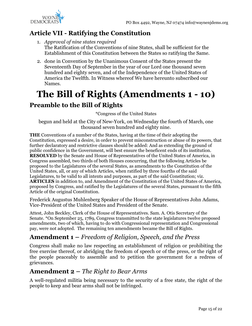

## <span id="page-14-0"></span>**Article VII - Ratifying the Constitution**

- 1. *Approval of nine states required* The Ratification of the Conventions of nine States, shall be sufficient for the Establishment of this Constitution between the States so ratifying the Same.
- 2. done in Convention by the Unanimous Consent of the States present the Seventeenth Day of September in the year of our Lord one thousand seven hundred and eighty seven, and of the Independence of the United States of America the Twelfth. In Witness whereof We have hereunto subscribed our Names.

## <span id="page-14-1"></span>**The Bill of Rights (Amendments 1 - 10)**

## <span id="page-14-2"></span>**Preamble to the Bill of Rights**

\*Congress of the United States

begun and held at the City of New-York, on Wednesday the fourth of March, one thousand seven hundred and eighty nine.

**THE** Conventions of a number of the States, having at the time of their adopting the Constitution, expressed a desire, in order to prevent misconstruction or abuse of its powers, that further declaratory and restrictive clauses should be added: And as extending the ground of public confidence in the Government, will best ensure the beneficent ends of its institution. **RESOLVED** by the Senate and House of Representatives of the United States of America, in Congress assembled, two thirds of both Houses concurring, that the following Articles be proposed to the Legislatures of the several States, as amendments to the Constitution of the United States, all, or any of which Articles, when ratified by three fourths of the said Legislatures, to be valid to all intents and purposes, as part of the said Constitution; viz. **ARTICLES** in addition to, and Amendment of the Constitution of the United States of America, proposed by Congress, and ratified by the Legislatures of the several States, pursuant to the fifth Article of the original Constitution.

Frederick Augustus Muhlenberg Speaker of the House of Representatives John Adams, Vice-President of the United States and President of the Senate.

Attest, John Beckley, Clerk of the House of Representatives. Sam. A. Otis Secretary of the Senate. \*On September 25, 1789, Congress transmitted to the state legislatures twelve proposed amendments, two of which, having to do with Congressional representation and Congressional pay, were not adopted. The remaining ten amendments became the Bill of Rights.

## <span id="page-14-3"></span>**Amendment 1 –** *Freedom of Religion, Speech, and the Press*

Congress shall make no law respecting an establishment of religion or prohibiting the free exercise thereof, or abridging the freedom of speech or of the press, or the right of the people peaceably to assemble and to petition the government for a redress of grievances.

## <span id="page-14-4"></span>**Amendment 2 –** *The Right to Bear Arms*

A well-regulated militia being necessary to the security of a free state, the right of the people to keep and bear arms shall not be infringed.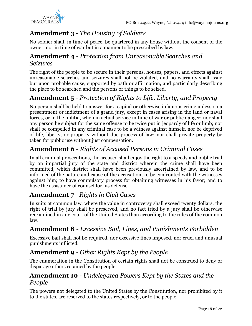

## <span id="page-15-0"></span>**Amendment 3** *- The Housing of Soldiers*

No soldier shall, in time of peace, be quartered in any house without the consent of the owner, nor in time of war but in a manner to be prescribed by law.

## <span id="page-15-1"></span>**Amendment 4** *- Protection from Unreasonable Searches and Seizures*

The right of the people to be secure in their persons, houses, papers, and effects against unreasonable searches and seizures shall not be violated, and no warrants shall issue but upon probable cause, supported by oath or affirmation, and particularly describing the place to be searched and the persons or things to be seized.

## <span id="page-15-2"></span>**Amendment 5** *- Protection of Rights to Life, Liberty, and Property*

No person shall be held to answer for a capital or otherwise infamous crime unless on a presentment or indictment of a grand jury, except in cases arising in the land or naval forces, or in the militia, when in actual service in time of war or public danger; nor shall any person be subject for the same offense to be twice put in jeopardy of life or limb; nor shall be compelled in any criminal case to be a witness against himself, nor be deprived of life, liberty, or property without due process of law; nor shall private property be taken for public use without just compensation.

## <span id="page-15-3"></span>**Amendment 6** - *Rights of Accused Persons in Criminal Cases*

In all criminal prosecutions, the accused shall enjoy the right to a speedy and public trial by an impartial jury of the state and district wherein the crime shall have been committed, which district shall have been previously ascertained by law, and to be informed of the nature and cause of the accusation; to be confronted with the witnesses against him; to have compulsory process for obtaining witnesses in his favor; and to have the assistance of counsel for his defense.

## <span id="page-15-4"></span>**Amendment 7** *- Rights in Civil Cases*

In suits at common law, where the value in controversy shall exceed twenty dollars, the right of trial by jury shall be preserved, and no fact tried by a jury shall be otherwise reexamined in any court of the United States than according to the rules of the common law.

## <span id="page-15-5"></span>**Amendment 8** *- Excessive Bail, Fines, and Punishments Forbidden*

Excessive bail shall not be required, nor excessive fines imposed, nor cruel and unusual punishments inflicted.

## <span id="page-15-6"></span>**Amendment 9** *- Other Rights Kept by the People*

The enumeration in the Constitution of certain rights shall not be construed to deny or disparage others retained by the people.

## <span id="page-15-7"></span>**Amendment 10** *- Undelegated Powers Kept by the States and the People*

The powers not delegated to the United States by the Constitution, nor prohibited by it to the states, are reserved to the states respectively, or to the people.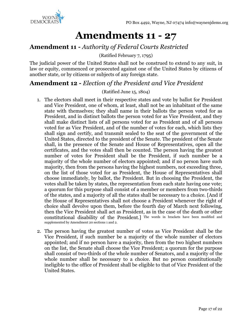

## **Amendments 11 - 27**

## <span id="page-16-1"></span><span id="page-16-0"></span>**Amendment 11** *- Authority of Federal Courts Restricted*

(Ratified February 7, 1795)

The judicial power of the United States shall not be construed to extend to any suit, in law or equity, commenced or prosecuted against one of the United States by citizens of another state, or by citizens or subjects of any foreign state.

## <span id="page-16-2"></span>**Amendment 12 -** *Election of the President and Vice President*

#### (Ratified June 15, 1804)

- 1. The electors shall meet in their respective states and vote by ballot for President and Vice President, one of whom, at least, shall not be an inhabitant of the same state with themselves; they shall name in their ballots the person voted for as President, and in distinct ballots the person voted for as Vice President, and they shall make distinct lists of all persons voted for as President and of all persons voted for as Vice President, and of the number of votes for each, which lists they shall sign and certify, and transmit sealed to the seat of the government of the United States, directed to the president of the Senate. The president of the Senate shall, in the presence of the Senate and House of Representatives, open all the certificates, and the votes shall then be counted. The person having the greatest number of votes for President shall be the President, if such number be a majority of the whole number of electors appointed; and if no person have such majority, then from the persons having the highest numbers, not exceeding three, on the list of those voted for as President, the House of Representatives shall choose immediately, by ballot, the President. But in choosing the President, the votes shall be taken by states, the representation from each state having one vote; a quorum for this purpose shall consist of a member or members from two-thirds of the states, and a majority of all the states shall be necessary to a choice. [And if the House of Representatives shall not choose a President whenever the right of choice shall devolve upon them, before the fourth day of March next following, then the Vice President shall act as President, as in the case of the death or other constitutional disability of the President.] The words in brackets have been modified and supplemented by Amendment 20 sections 1 and 2.
- 2. The person having the greatest number of votes as Vice President shall be the Vice President, if such number be a majority of the whole number of electors appointed; and if no person have a majority, then from the two highest numbers on the list, the Senate shall choose the Vice President; a quorum for the purpose shall consist of two-thirds of the whole number of Senators, and a majority of the whole number shall be necessary to a choice. But no person constitutionally ineligible to the office of President shall be eligible to that of Vice President of the United States.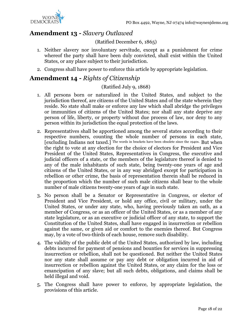

## <span id="page-17-0"></span>**Amendment 13 -** *Slavery Outlawed*

#### (Ratified December 6, 1865)

- 1. Neither slavery nor involuntary servitude, except as a punishment for crime whereof the party shall have been duly convicted, shall exist within the United States, or any place subject to their jurisdiction.
- 2. Congress shall have power to enforce this article by appropriate legislation.

## <span id="page-17-1"></span>**Amendment 14 -** *Rights of Citizenship*

#### (Ratified July 9, 1868)

- 1. All persons born or naturalized in the United States, and subject to the jurisdiction thereof, are citizens of the United States and of the state wherein they reside. No state shall make or enforce any law which shall abridge the privileges or immunities of citizens of the United States; nor shall any state deprive any person of life, liberty, or property without due process of law, nor deny to any person within its jurisdiction the equal protection of the laws.
- 2. Representatives shall be apportioned among the several states according to their respective numbers, counting the whole number of persons in each state, [excluding Indians not taxed.] The words in brackets have been obsolete since the 1940s. But when the right to vote at any election for the choice of electors for President and Vice President of the United States, Representatives in Congress, the executive and judicial officers of a state, or the members of the legislature thereof is denied to any of the male inhabitants of such state, being twenty-one years of age and citizens of the United States, or in any way abridged except for participation in rebellion or other crime, the basis of representation therein shall be reduced in the proportion which the number of such male citizens shall bear to the whole number of male citizens twenty-one years of age in such state.
- 3. No person shall be a Senator or Representative in Congress, or elector of President and Vice President, or hold any office, civil or military, under the United States, or under any state, who, having previously taken an oath, as a member of Congress, or as an officer of the United States, or as a member of any state legislature, or as an executive or judicial officer of any state, to support the Constitution of the United States, shall have engaged in insurrection or rebellion against the same, or given aid or comfort to the enemies thereof. But Congress may, by a vote of two-thirds of each house, remove such disability.
- 4. The validity of the public debt of the United States, authorized by law, including debts incurred for payment of pensions and bounties for services in suppressing insurrection or rebellion, shall not be questioned. But neither the United States nor any state shall assume or pay any debt or obligation incurred in aid of insurrection or rebellion against the United States, or any claim for the loss or emancipation of any slave; but all such debts, obligations, and claims shall be held illegal and void.
- 5. The Congress shall have power to enforce, by appropriate legislation, the provisions of this article.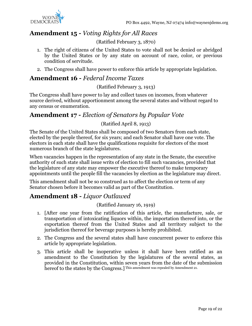

## <span id="page-18-0"></span>**Amendment 15 -** *Voting Rights for All Races*

(Ratified February 3, 1870)

- 1. The right of citizens of the United States to vote shall not be denied or abridged by the United States or by any state on account of race, color, or previous condition of servitude.
- 2. The Congress shall have power to enforce this article by appropriate legislation.

## <span id="page-18-1"></span>**Amendment 16 -** *Federal Income Taxes*

#### (Ratified February 3, 1913)

The Congress shall have power to lay and collect taxes on incomes, from whatever source derived, without apportionment among the several states and without regard to any census or enumeration.

## <span id="page-18-2"></span>**Amendment 17 -** *Election of Senators by Popular Vote*

## (Ratified April 8, 1913)

The Senate of the United States shall be composed of two Senators from each state, elected by the people thereof, for six years; and each Senator shall have one vote. The electors in each state shall have the qualifications requisite for electors of the most numerous branch of the state legislatures.

When vacancies happen in the representation of any state in the Senate, the executive authority of such state shall issue writs of election to fill such vacancies, provided that the legislature of any state may empower the executive thereof to make temporary appointments until the people fill the vacancies by election as the legislature may direct.

This amendment shall not be so construed as to affect the election or term of any Senator chosen before it becomes valid as part of the Constitution.

## <span id="page-18-3"></span>**Amendment 18 -** *Liquor Outlawed*

(Ratified January 16, 1919)

- 1. [After one year from the ratification of this article, the manufacture, sale, or transportation of intoxicating liquors within, the importation thereof into, or the exportation thereof from the United States and all territory subject to the jurisdiction thereof for beverage purposes is hereby prohibited.
- 2. The Congress and the several states shall have concurrent power to enforce this article by appropriate legislation.
- 3. This article shall be inoperative unless it shall have been ratified as an amendment to the Constitution by the legislatures of the several states, as provided in the Constitution, within seven years from the date of the submission hereof to the states by the Congress.] This amendment was repealed by Amendment 21.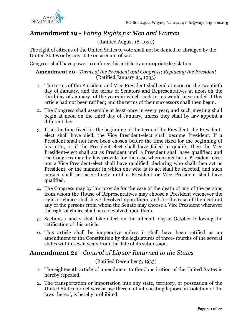

## <span id="page-19-0"></span>**Amendment 19 -** *Voting Rights for Men and Women*

## (Ratified August 18, 1920)

The right of citizens of the United States to vote shall not be denied or abridged by the United States or by any state on account of sex.

Congress shall have power to enforce this article by appropriate legislation.

#### **Amendment 20** *- Terms of the President and Congress; Replacing the President* (Ratified January 23, 1933)

- 1. The terms of the President and Vice President shall end at noon on the twentieth day of January, and the terms of Senators and Representatives at noon on the third day of January, of the years in which such terms would have ended if this article had not been ratified; and the terms of their successors shall then begin.
- 2. The Congress shall assemble at least once in every year, and such meeting shall begin at noon on the third day of January, unless they shall by law appoint a different day.
- 3. If, at the time fixed for the beginning of the term of the President, the Presidentelect shall have died, the Vice President-elect shall become President. If a President shall not have been chosen before the time fixed for the beginning of his term, or if the President-elect shall have failed to qualify, then the Vice President-elect shall act as President until a President shall have qualified; and the Congress may by law provide for the case wherein neither a President-elect nor a Vice President-elect shall have qualified, declaring who shall then act as President, or the manner in which one who is to act shall be selected, and such person shall act accordingly until a President or Vice President shall have qualified.
- 4. The Congress may by law provide for the case of the death of any of the persons from whom the House of Representatives may choose a President whenever the right of choice shall have devolved upon them, and for the case of the death of any of the persons from whom the Senate may choose a Vice President whenever the right of choice shall have devolved upon them.
- 5. Sections 1 and 2 shall take effect on the fifteenth day of October following the ratification of this article.
- 6. This article shall be inoperative unless it shall have been ratified as an amendment to the Constitution by the legislatures of three- fourths of the several states within seven years from the date of its submission.

## <span id="page-19-1"></span>**Amendment 21 -** *Control of Liquor Returned to the States*

#### (Ratified December 5, 1933)

- 1. The eighteenth article of amendment to the Constitution of the United States is hereby repealed.
- 2. The transportation or importation into any state, territory, or possession of the United States for delivery or use therein of intoxicating liquors, in violation of the laws thereof, is hereby prohibited.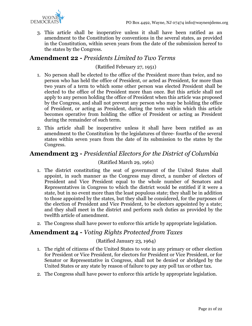

3. This article shall be inoperative unless it shall have been ratified as an amendment to the Constitution by conventions in the several states, as provided in the Constitution, within seven years from the date of the submission hereof to the states by the Congress.

## <span id="page-20-0"></span>**Amendment 22 -** *Presidents Limited to Two Terms*

#### (Ratified February 27, 1951)

- 1. No person shall be elected to the office of the President more than twice, and no person who has held the office of President, or acted as President, for more than two years of a term to which some other person was elected President shall be elected to the office of the President more than once. But this article shall not apply to any person holding the office of President when this article was proposed by the Congress, and shall not prevent any person who may be holding the office of President, or acting as President, during the term within which this article becomes operative from holding the office of President or acting as President during the remainder of such term.
- 2. This article shall be inoperative unless it shall have been ratified as an amendment to the Constitution by the legislatures of three- fourths of the several states within seven years from the date of its submission to the states by the Congress.

## <span id="page-20-1"></span>**Amendment 23 -** *Presidential Electors for the District of Columbia*

### (Ratified March 29, 1961)

- 1. The district constituting the seat of government of the United States shall appoint, in such manner as the Congress may direct, a number of electors of President and Vice President equal to the whole number of Senators and Representatives in Congress to which the district would be entitled if it were a state, but in no event more than the least populous state; they shall be in addition to those appointed by the states, but they shall be considered, for the purposes of the election of President and Vice President, to be electors appointed by a state; and they shall meet in the district and perform such duties as provided by the twelfth article of amendment.
- 2. The Congress shall have power to enforce this article by appropriate legislation.

## <span id="page-20-2"></span>**Amendment 24 -** *Voting Rights Protected from Taxes*

#### (Ratified January 23, 1964)

- 1. The right of citizens of the United States to vote in any primary or other election for President or Vice President, for electors for President or Vice President, or for Senator or Representative in Congress, shall not be denied or abridged by the United States or any state by reason of failure to pay any poll tax or other tax.
- 2. The Congress shall have power to enforce this article by appropriate legislation.